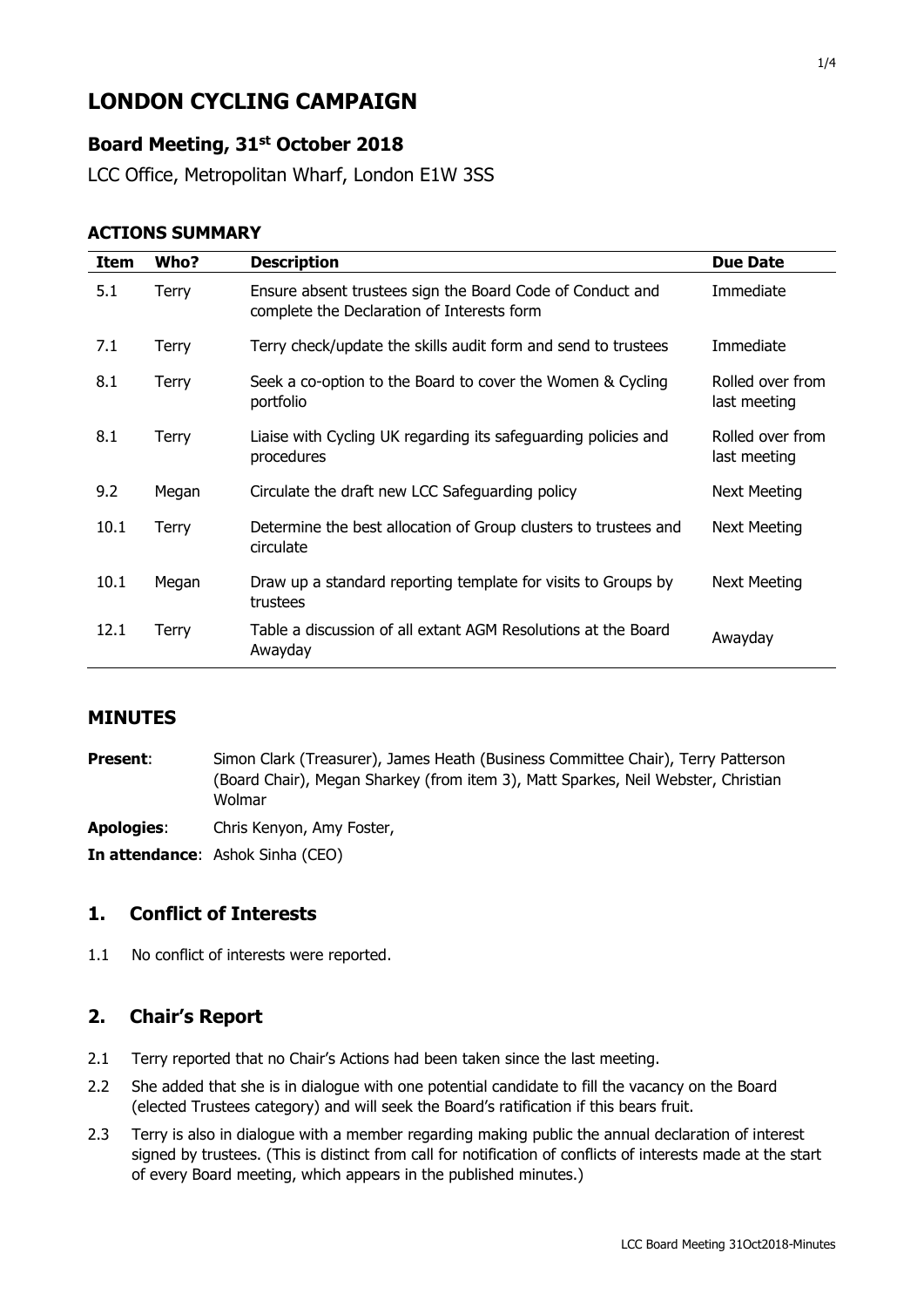# **LONDON CYCLING CAMPAIGN**

# **Board Meeting, 31st October 2018**

LCC Office, Metropolitan Wharf, London E1W 3SS

#### **ACTIONS SUMMARY**

| Item | Who?  | <b>Description</b>                                                                                      | <b>Due Date</b>                  |
|------|-------|---------------------------------------------------------------------------------------------------------|----------------------------------|
| 5.1  | Terry | Ensure absent trustees sign the Board Code of Conduct and<br>complete the Declaration of Interests form | Immediate                        |
| 7.1  | Terry | Terry check/update the skills audit form and send to trustees                                           | Immediate                        |
| 8.1  | Terry | Seek a co-option to the Board to cover the Women & Cycling<br>portfolio                                 | Rolled over from<br>last meeting |
| 8.1  | Terry | Liaise with Cycling UK regarding its safeguarding policies and<br>procedures                            | Rolled over from<br>last meeting |
| 9.2  | Megan | Circulate the draft new LCC Safeguarding policy                                                         | <b>Next Meeting</b>              |
| 10.1 | Terry | Determine the best allocation of Group clusters to trustees and<br>circulate                            | Next Meeting                     |
| 10.1 | Megan | Draw up a standard reporting template for visits to Groups by<br>trustees                               | Next Meeting                     |
| 12.1 | Terry | Table a discussion of all extant AGM Resolutions at the Board<br>Awayday                                | Awayday                          |

#### **MINUTES**

**Present:** Simon Clark (Treasurer), James Heath (Business Committee Chair), Terry Patterson (Board Chair), Megan Sharkey (from item 3), Matt Sparkes, Neil Webster, Christian Wolmar

**Apologies**: Chris Kenyon, Amy Foster,

**In attendance**: Ashok Sinha (CEO)

### **1. Conflict of Interests**

1.1 No conflict of interests were reported.

#### **2. Chair's Report**

- 2.1 Terry reported that no Chair's Actions had been taken since the last meeting.
- 2.2 She added that she is in dialogue with one potential candidate to fill the vacancy on the Board (elected Trustees category) and will seek the Board's ratification if this bears fruit.
- 2.3 Terry is also in dialogue with a member regarding making public the annual declaration of interest signed by trustees. (This is distinct from call for notification of conflicts of interests made at the start of every Board meeting, which appears in the published minutes.)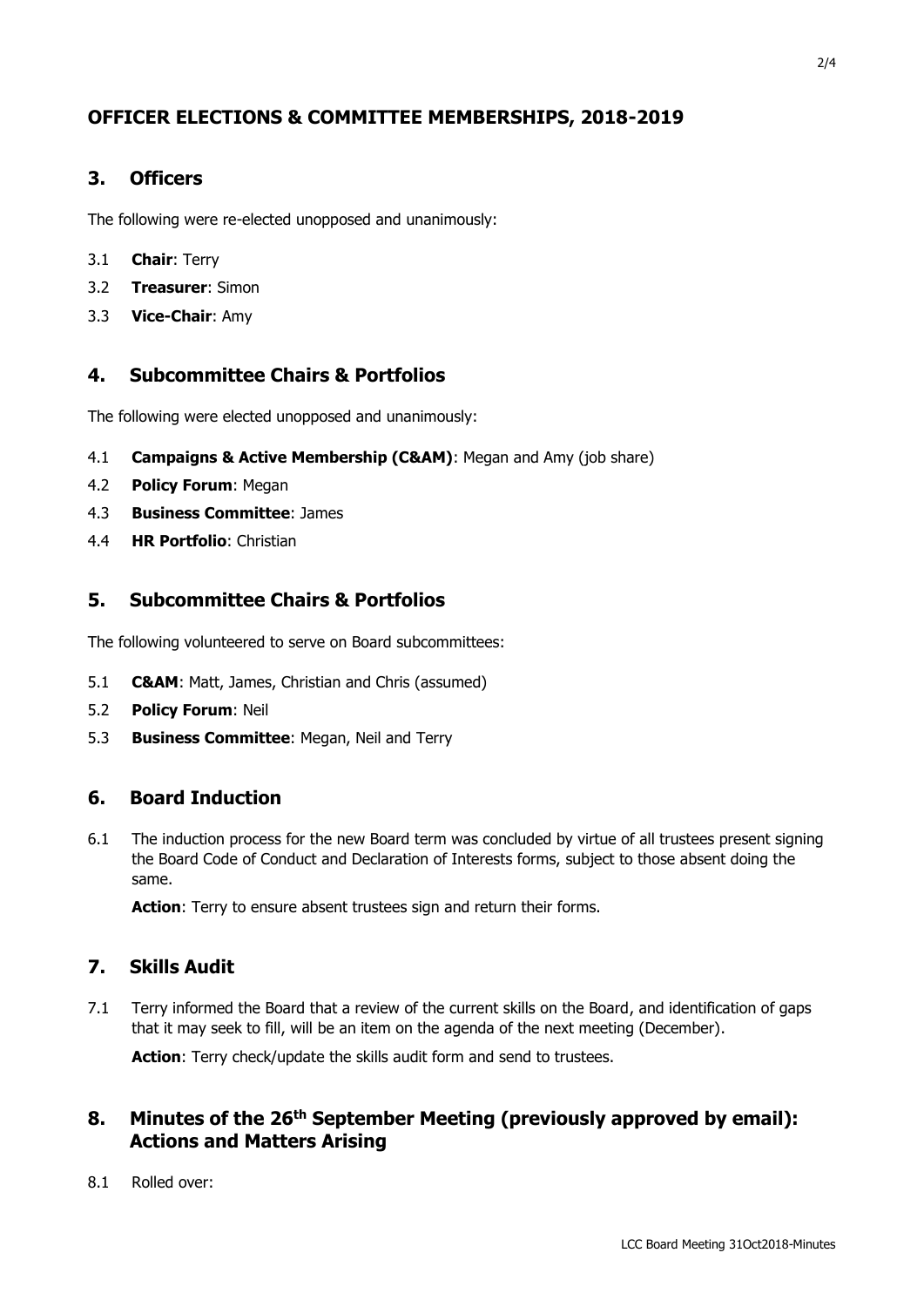# **OFFICER ELECTIONS & COMMITTEE MEMBERSHIPS, 2018-2019**

### **3. Officers**

The following were re-elected unopposed and unanimously:

- 3.1 **Chair**: Terry
- 3.2 **Treasurer**: Simon
- 3.3 **Vice-Chair**: Amy

### **4. Subcommittee Chairs & Portfolios**

The following were elected unopposed and unanimously:

- 4.1 **Campaigns & Active Membership (C&AM)**: Megan and Amy (job share)
- 4.2 **Policy Forum**: Megan
- 4.3 **Business Committee**: James
- 4.4 **HR Portfolio**: Christian

### **5. Subcommittee Chairs & Portfolios**

The following volunteered to serve on Board subcommittees:

- 5.1 **C&AM**: Matt, James, Christian and Chris (assumed)
- 5.2 **Policy Forum**: Neil
- 5.3 **Business Committee**: Megan, Neil and Terry

### **6. Board Induction**

6.1 The induction process for the new Board term was concluded by virtue of all trustees present signing the Board Code of Conduct and Declaration of Interests forms, subject to those absent doing the same.

Action: Terry to ensure absent trustees sign and return their forms.

### **7. Skills Audit**

7.1 Terry informed the Board that a review of the current skills on the Board, and identification of gaps that it may seek to fill, will be an item on the agenda of the next meeting (December).

**Action**: Terry check/update the skills audit form and send to trustees.

### **8. Minutes of the 26th September Meeting (previously approved by email): Actions and Matters Arising**

8.1 Rolled over: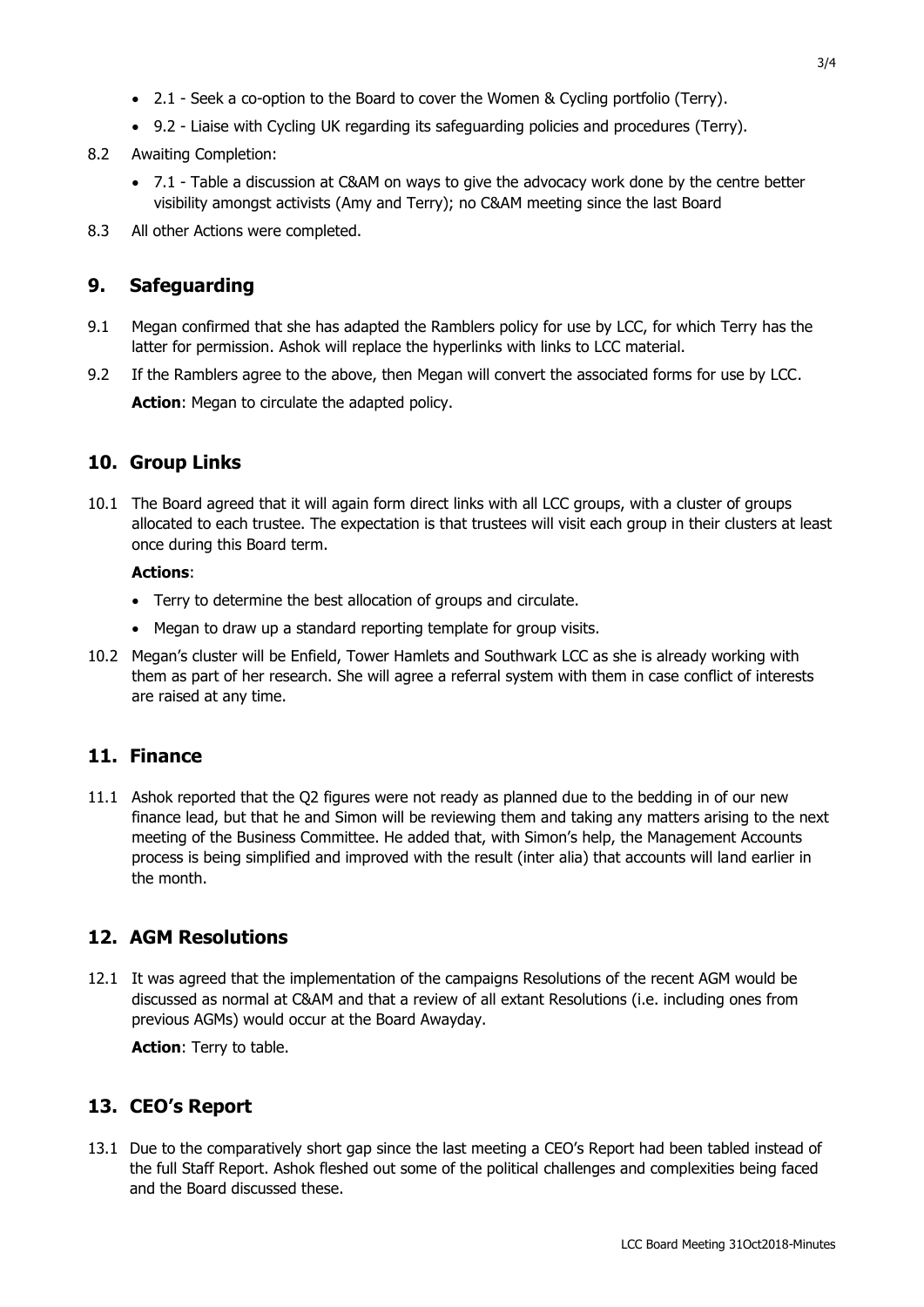- 2.1 Seek a co-option to the Board to cover the Women & Cycling portfolio (Terry).
- 9.2 Liaise with Cycling UK regarding its safeguarding policies and procedures (Terry).
- 8.2 Awaiting Completion:
	- 7.1 Table a discussion at C&AM on ways to give the advocacy work done by the centre better visibility amongst activists (Amy and Terry); no C&AM meeting since the last Board
- 8.3 All other Actions were completed.

### **9. Safeguarding**

- 9.1 Megan confirmed that she has adapted the Ramblers policy for use by LCC, for which Terry has the latter for permission. Ashok will replace the hyperlinks with links to LCC material.
- 9.2 If the Ramblers agree to the above, then Megan will convert the associated forms for use by LCC. Action: Megan to circulate the adapted policy.

### **10. Group Links**

10.1 The Board agreed that it will again form direct links with all LCC groups, with a cluster of groups allocated to each trustee. The expectation is that trustees will visit each group in their clusters at least once during this Board term.

#### **Actions**:

- Terry to determine the best allocation of groups and circulate.
- Megan to draw up a standard reporting template for group visits.
- 10.2 Megan's cluster will be Enfield, Tower Hamlets and Southwark LCC as she is already working with them as part of her research. She will agree a referral system with them in case conflict of interests are raised at any time.

### **11. Finance**

11.1 Ashok reported that the Q2 figures were not ready as planned due to the bedding in of our new finance lead, but that he and Simon will be reviewing them and taking any matters arising to the next meeting of the Business Committee. He added that, with Simon's help, the Management Accounts process is being simplified and improved with the result (inter alia) that accounts will land earlier in the month.

# **12. AGM Resolutions**

12.1 It was agreed that the implementation of the campaigns Resolutions of the recent AGM would be discussed as normal at C&AM and that a review of all extant Resolutions (i.e. including ones from previous AGMs) would occur at the Board Awayday.

**Action**: Terry to table.

# **13. CEO's Report**

13.1 Due to the comparatively short gap since the last meeting a CEO's Report had been tabled instead of the full Staff Report. Ashok fleshed out some of the political challenges and complexities being faced and the Board discussed these.